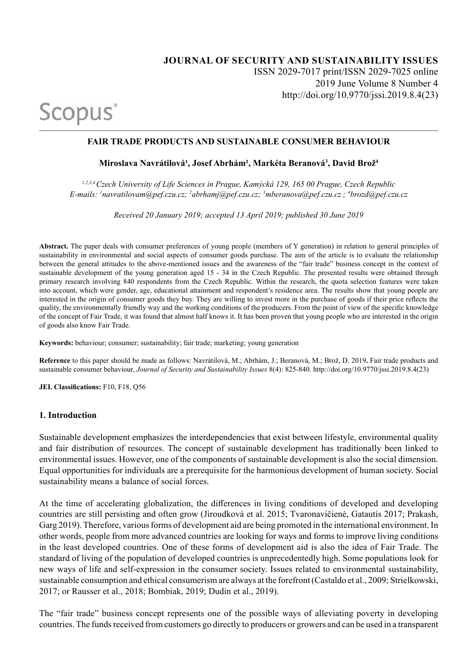# **JOURNAL OF SECURITY AND SUSTAINABILITY ISSUES** ISSN 2029-7017 print/ISSN 2029-7025 online 2019 June Volume 8 Number 4 http://doi.org/10.9770/jssi.2019.8.4(23)

# **FAIR TRADE PRODUCTS AND SUSTAINABLE CONSUMER BEHAVIOUR**

### **Miroslava Navrátilová¹, Josef Abrhám², Markéta Beranová3 , David Brož<sup>4</sup>**

*1,2,3,4 Czech University of Life Sciences in Prague, Kamýcká 129, 165 00 Prague, Czech Republic E-mails: 1 navratilovam@pef.czu.cz; 2 abrhamj@pef.czu.cz; 3 mberanova@pef.czu.cz ; 4 brozd@pef.czu.cz* 

*Received 20 January 2019; accepted 13 April 2019; published 30 June 2019*

**Abstract.** The paper deals with consumer preferences of young people (members of Y generation) in relation to general principles of sustainability in environmental and social aspects of consumer goods purchase. The aim of the article is to evaluate the relationship between the general attitudes to the above-mentioned issues and the awareness of the "fair trade" business concept in the context of sustainable development of the young generation aged 15 - 34 in the Czech Republic. The presented results were obtained through primary research involving 840 respondents from the Czech Republic. Within the research, the quota selection features were taken into account, which were gender, age, educational attainment and respondent's residence area. The results show that young people are interested in the origin of consumer goods they buy. They are willing to invest more in the purchase of goods if their price reflects the quality, the environmentally friendly way and the working conditions of the producers. From the point of view of the specific knowledge of the concept of Fair Trade, it was found that almost half knows it. It has been proven that young people who are interested in the origin of goods also know Fair Trade.

**Keywords:** behaviour; consumer; sustainability; fair trade; marketing; young generation

**Reference** to this paper should be made as follows: Navrátilová, M.; Abrhám, J.; Beranová, M.; Brož, D. 2019**.** Fair trade products and sustainable consumer behaviour, *Journal of Security and Sustainability Issues* 8(4): 825-840. http://doi.org/10.9770/jssi.2019.8.4(23)

**JEL Classifications:** F10, F18, Q56

Scopus<sup>®</sup>

#### **1. Introduction**

Sustainable development emphasizes the interdependencies that exist between lifestyle, environmental quality and fair distribution of resources. The concept of sustainable development has traditionally been linked to environmental issues. However, one of the components of sustainable development is also the social dimension. Equal opportunities for individuals are a prerequisite for the harmonious development of human society. Social sustainability means a balance of social forces.

At the time of accelerating globalization, the differences in living conditions of developed and developing countries are still persisting and often grow (Jiroudková et al. 2015; Tvaronavičienė, Gatautis 2017; Prakash, Garg 2019). Therefore, various forms of development aid are being promoted in the international environment. In other words, people from more advanced countries are looking for ways and forms to improve living conditions in the least developed countries. One of these forms of development aid is also the idea of Fair Trade. The standard of living of the population of developed countries is unprecedentedly high. Some populations look for new ways of life and self-expression in the consumer society. Issues related to environmental sustainability, sustainable consumption and ethical consumerism are always at the forefront (Castaldo et al., 2009; Strielkowski, 2017; or Rausser et al., 2018; Bombiak, 2019; Dudin et al., 2019).

The "fair trade" business concept represents one of the possible ways of alleviating poverty in developing countries. The funds received from customers go directly to producers or growers and can be used in a transparent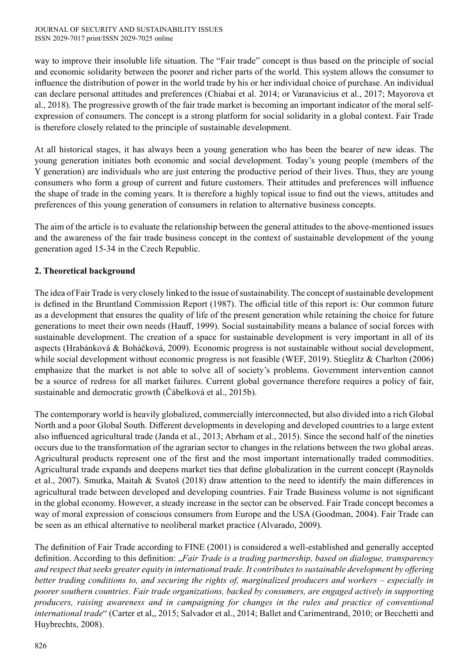way to improve their insoluble life situation. The "Fair trade" concept is thus based on the principle of social and economic solidarity between the poorer and richer parts of the world. This system allows the consumer to influence the distribution of power in the world trade by his or her individual choice of purchase. An individual can declare personal attitudes and preferences (Chiabai et al. 2014; or Varanavicius et al., 2017; Mayorova et al., 2018). The progressive growth of the fair trade market is becoming an important indicator of the moral selfexpression of consumers. The concept is a strong platform for social solidarity in a global context. Fair Trade is therefore closely related to the principle of sustainable development.

At all historical stages, it has always been a young generation who has been the bearer of new ideas. The young generation initiates both economic and social development. Today's young people (members of the Y generation) are individuals who are just entering the productive period of their lives. Thus, they are young consumers who form a group of current and future customers. Their attitudes and preferences will influence the shape of trade in the coming years. It is therefore a highly topical issue to find out the views, attitudes and preferences of this young generation of consumers in relation to alternative business concepts.

The aim of the article is to evaluate the relationship between the general attitudes to the above-mentioned issues and the awareness of the fair trade business concept in the context of sustainable development of the young generation aged 15-34 in the Czech Republic.

# **2. Theoretical background**

The idea of Fair Trade is very closely linked to the issue of sustainability. The concept of sustainable development is defined in the Bruntland Commission Report (1987). The official title of this report is: Our common future as a development that ensures the quality of life of the present generation while retaining the choice for future generations to meet their own needs (Hauff, 1999). Social sustainability means a balance of social forces with sustainable development. The creation of a space for sustainable development is very important in all of its aspects (Hrabánková & Boháčková, 2009). Economic progress is not sustainable without social development, while social development without economic progress is not feasible (WEF, 2019). Stieglitz & Charlton (2006) emphasize that the market is not able to solve all of society's problems. Government intervention cannot be a source of redress for all market failures. Current global governance therefore requires a policy of fair, sustainable and democratic growth (Čábelková et al., 2015b).

The contemporary world is heavily globalized, commercially interconnected, but also divided into a rich Global North and a poor Global South. Different developments in developing and developed countries to a large extent also influenced agricultural trade (Janda et al., 2013; Abrham et al., 2015). Since the second half of the nineties occurs due to the transformation of the agrarian sector to changes in the relations between the two global areas. Agricultural products represent one of the first and the most important internationally traded commodities. Agricultural trade expands and deepens market ties that define globalization in the current concept (Raynolds et al., 2007). Smutka, Maitah & Svatoš (2018) draw attention to the need to identify the main differences in agricultural trade between developed and developing countries. Fair Trade Business volume is not significant in the global economy. However, a steady increase in the sector can be observed. Fair Trade concept becomes a way of moral expression of conscious consumers from Europe and the USA (Goodman, 2004). Fair Trade can be seen as an ethical alternative to neoliberal market practice (Alvarado, 2009).

The definition of Fair Trade according to FINE (2001) is considered a well-established and generally accepted definition. According to this definition: "*Fair Trade is a trading partnership, based on dialogue, transparency and respect that seeks greater equity in international trade. It contributes to sustainable development by offering*  better trading conditions to, and securing the rights of, marginalized producers and workers – especially in *poorer southern countries. Fair trade organizations, backed by consumers, are engaged actively in supporting producers, raising awareness and in campaigning for changes in the rules and practice of conventional international trade*" (Carter et al,, 2015; Salvador et al., 2014; Ballet and Carimentrand, 2010; or Becchetti and Huybrechts, 2008).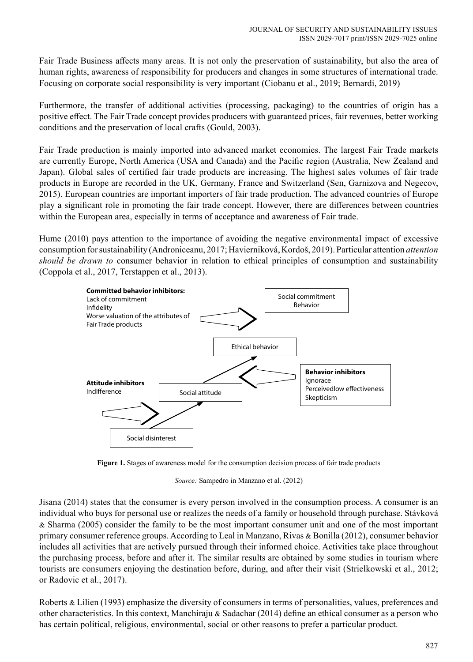Fair Trade Business affects many areas. It is not only the preservation of sustainability, but also the area of human rights, awareness of responsibility for producers and changes in some structures of international trade. Focusing on corporate social responsibility is very important (Ciobanu et al., 2019; Bernardi, 2019)

Furthermore, the transfer of additional activities (processing, packaging) to the countries of origin has a positive effect. The Fair Trade concept provides producers with guaranteed prices, fair revenues, better working conditions and the preservation of local crafts (Gould, 2003).

Fair Trade production is mainly imported into advanced market economies. The largest Fair Trade markets are currently Europe, North America (USA and Canada) and the Pacific region (Australia, New Zealand and Japan). Global sales of certified fair trade products are increasing. The highest sales volumes of fair trade products in Europe are recorded in the UK, Germany, France and Switzerland (Sen, Garnizova and Negecov, 2015). European countries are important importers of fair trade production. The advanced countries of Europe play a significant role in promoting the fair trade concept. However, there are differences between countries within the European area, especially in terms of acceptance and awareness of Fair trade.

Hume (2010) pays attention to the importance of avoiding the negative environmental impact of excessive consumption for sustainability (Androniceanu, 2017; Havierniková, Kordoš, 2019). Particular attention *attention should be drawn to* consumer behavior in relation to ethical principles of consumption and sustainability (Coppola et al., 2017, Terstappen et al., 2013).



**Figure 1.** Stages of awareness model for the consumption decision process of fair trade products

*Source:* Sampedro in Manzano et al. (2012)

Jisana (2014) states that the consumer is every person involved in the consumption process. A consumer is an individual who buys for personal use or realizes the needs of a family or household through purchase. Stávková & Sharma (2005) consider the family to be the most important consumer unit and one of the most important primary consumer reference groups. According to Leal in Manzano, Rivas & Bonilla (2012), consumer behavior includes all activities that are actively pursued through their informed choice. Activities take place throughout the purchasing process, before and after it. The similar results are obtained by some studies in tourism where tourists are consumers enjoying the destination before, during, and after their visit (Strielkowski et al., 2012; or Radovic et al., 2017).

Roberts & Lilien (1993) emphasize the diversity of consumers in terms of personalities, values, preferences and other characteristics. In this context, Manchiraju & Sadachar (2014) define an ethical consumer as a person who has certain political, religious, environmental, social or other reasons to prefer a particular product.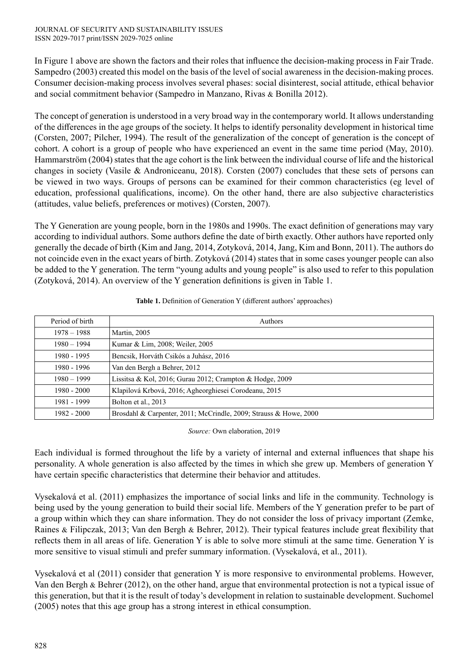In Figure 1 above are shown the factors and their roles that influence the decision-making process in Fair Trade. Sampedro (2003) created this model on the basis of the level of social awareness in the decision-making proces. Consumer decision-making process involves several phases: social disinterest, social attitude, ethical behavior and social commitment behavior (Sampedro in Manzano, Rivas & Bonilla 2012).

The concept of generation is understood in a very broad way in the contemporary world. It allows understanding of the differences in the age groups of the society. It helps to identify personality development in historical time (Corsten, 2007; Pilcher, 1994). The result of the generalization of the concept of generation is the concept of cohort. A cohort is a group of people who have experienced an event in the same time period (May, 2010). Hammarström (2004) states that the age cohort is the link between the individual course of life and the historical changes in society (Vasile & Androniceanu, 2018). Corsten (2007) concludes that these sets of persons can be viewed in two ways. Groups of persons can be examined for their common characteristics (eg level of education, professional qualifications, income). On the other hand, there are also subjective characteristics (attitudes, value beliefs, preferences or motives) (Corsten, 2007).

The Y Generation are young people, born in the 1980s and 1990s. The exact definition of generations may vary according to individual authors. Some authors define the date of birth exactly. Other authors have reported only generally the decade of birth (Kim and Jang, 2014, Zotyková, 2014, Jang, Kim and Bonn, 2011). The authors do not coincide even in the exact years of birth. Zotyková (2014) states that in some cases younger people can also be added to the Y generation. The term "young adults and young people" is also used to refer to this population (Zotyková, 2014). An overview of the Y generation definitions is given in Table 1.

| Period of birth | Authors                                                           |
|-----------------|-------------------------------------------------------------------|
| $1978 - 1988$   | Martin, 2005                                                      |
| $1980 - 1994$   | Kumar & Lim, 2008; Weiler, 2005                                   |
| 1980 - 1995     | Bencsik, Horváth Csikós a Juhász, 2016                            |
| 1980 - 1996     | Van den Bergh a Behrer, 2012                                      |
| $1980 - 1999$   | Lissitsa & Kol, 2016; Gurau 2012; Crampton & Hodge, 2009          |
| $1980 - 2000$   | Klapilová Krbová, 2016; Agheorghiesei Corodeanu, 2015             |
| 1981 - 1999     | Bolton et al., 2013                                               |
| $1982 - 2000$   | Brosdahl & Carpenter, 2011; McCrindle, 2009; Strauss & Howe, 2000 |

**Table 1.** Definition of Generation Y (different authors' approaches)

*Source:* Own elaboration, 2019

Each individual is formed throughout the life by a variety of internal and external influences that shape his personality. A whole generation is also affected by the times in which she grew up. Members of generation Y have certain specific characteristics that determine their behavior and attitudes.

Vysekalová et al. (2011) emphasizes the importance of social links and life in the community. Technology is being used by the young generation to build their social life. Members of the Y generation prefer to be part of a group within which they can share information. They do not consider the loss of privacy important (Zemke, Raines & Filipczak, 2013; Van den Bergh & Behrer, 2012). Their typical features include great flexibility that reflects them in all areas of life. Generation Y is able to solve more stimuli at the same time. Generation Y is more sensitive to visual stimuli and prefer summary information. (Vysekalová, et al., 2011).

Vysekalová et al (2011) consider that generation Y is more responsive to environmental problems. However, Van den Bergh & Behrer (2012), on the other hand, argue that environmental protection is not a typical issue of this generation, but that it is the result of today's development in relation to sustainable development. Suchomel (2005) notes that this age group has a strong interest in ethical consumption.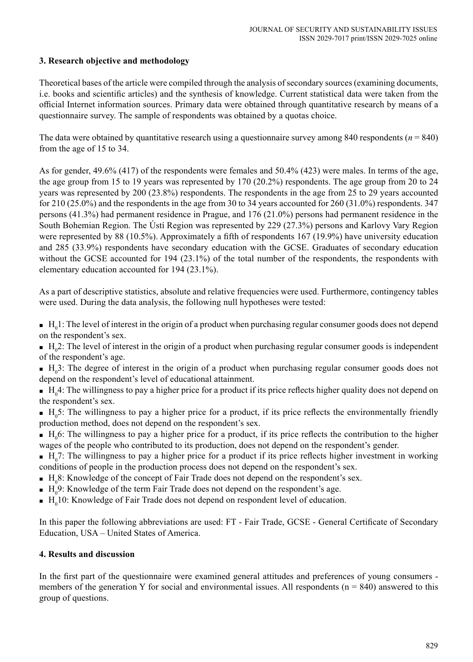## **3. Research objective and methodology**

Theoretical bases of the article were compiled through the analysis of secondary sources (examining documents, i.e. books and scientific articles) and the synthesis of knowledge. Current statistical data were taken from the official Internet information sources. Primary data were obtained through quantitative research by means of a questionnaire survey. The sample of respondents was obtained by a quotas choice.

The data were obtained by quantitative research using a questionnaire survey among 840 respondents ( $n = 840$ ) from the age of 15 to 34.

As for gender, 49.6% (417) of the respondents were females and 50.4% (423) were males. In terms of the age, the age group from 15 to 19 years was represented by 170 (20.2%) respondents. The age group from 20 to 24 years was represented by 200 (23.8%) respondents. The respondents in the age from 25 to 29 years accounted for 210 (25.0%) and the respondents in the age from 30 to 34 years accounted for 260 (31.0%) respondents. 347 persons (41.3%) had permanent residence in Prague, and 176 (21.0%) persons had permanent residence in the South Bohemian Region. The Ústí Region was represented by 229 (27.3%) persons and Karlovy Vary Region were represented by 88 (10.5%). Approximately a fifth of respondents 167 (19.9%) have university education and 285 (33.9%) respondents have secondary education with the GCSE. Graduates of secondary education without the GCSE accounted for 194 (23.1%) of the total number of the respondents, the respondents with elementary education accounted for 194 (23.1%).

As a part of descriptive statistics, absolute and relative frequencies were used. Furthermore, contingency tables were used. During the data analysis, the following null hypotheses were tested:

 $\blacksquare$  H<sub>0</sub>1: The level of interest in the origin of a product when purchasing regular consumer goods does not depend on the respondent's sex.

 $H_0^2$ : The level of interest in the origin of a product when purchasing regular consumer goods is independent of the respondent's age.

 $H_0^3$ : The degree of interest in the origin of a product when purchasing regular consumer goods does not depend on the respondent's level of educational attainment.

 $H_0^4$ : The willingness to pay a higher price for a product if its price reflects higher quality does not depend on the respondent's sex.

 $H_0$ 5: The willingness to pay a higher price for a product, if its price reflects the environmentally friendly production method, does not depend on the respondent's sex.

 $H_0$ 6: The willingness to pay a higher price for a product, if its price reflects the contribution to the higher wages of the people who contributed to its production, does not depend on the respondent's gender.

 $H_0$ 7: The willingness to pay a higher price for a product if its price reflects higher investment in working conditions of people in the production process does not depend on the respondent's sex.

 $H_0$ 8: Knowledge of the concept of Fair Trade does not depend on the respondent's sex.

- $\blacksquare$  H<sub>0</sub>9: Knowledge of the term Fair Trade does not depend on the respondent's age.
- $\blacksquare$  H<sub>0</sub>10: Knowledge of Fair Trade does not depend on respondent level of education.

In this paper the following abbreviations are used: FT - Fair Trade, GCSE - General Certificate of Secondary Education, USA – United States of America.

### **4. Results and discussion**

In the first part of the questionnaire were examined general attitudes and preferences of young consumers members of the generation Y for social and environmental issues. All respondents  $(n = 840)$  answered to this group of questions.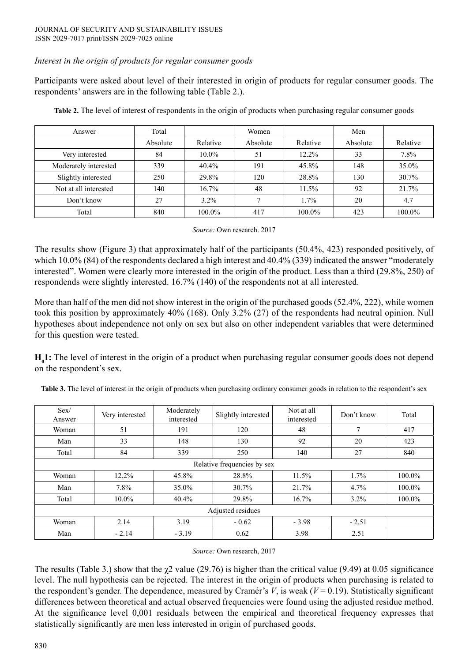## *Interest in the origin of products for regular consumer goods*

Participants were asked about level of their interested in origin of products for regular consumer goods. The respondents' answers are in the following table (Table 2.).

| Answer                | Total    |           | Women    |          | Men      |          |
|-----------------------|----------|-----------|----------|----------|----------|----------|
|                       | Absolute | Relative  | Absolute | Relative | Absolute | Relative |
| Very interested       | 84       | $10.0\%$  | 51       | 12.2%    | 33       | 7.8%     |
| Moderately interested | 339      | $40.4\%$  | 191      | 45.8%    | 148      | 35.0%    |
| Slightly interested   | 250      | 29.8%     | 120      | 28.8%    | 130      | 30.7%    |
| Not at all interested | 140      | 16.7%     | 48       | 11.5%    | 92       | 21.7%    |
| Don't know            | 27       | $3.2\%$   |          | 1.7%     | 20       | 4.7      |
| Total                 | 840      | $100.0\%$ | 417      | 100.0%   | 423      | 100.0%   |

**Table 2.** The level of interest of respondents in the origin of products when purchasing regular consumer goods

*Source:* Own research. 2017

The results show (Figure 3) that approximately half of the participants (50.4%, 423) responded positively, of which 10.0% (84) of the respondents declared a high interest and 40.4% (339) indicated the answer "moderately interested". Women were clearly more interested in the origin of the product. Less than a third (29.8%, 250) of respondends were slightly interested. 16.7% (140) of the respondents not at all interested.

More than half of the men did not show interest in the origin of the purchased goods (52.4%, 222), while women took this position by approximately 40% (168). Only 3.2% (27) of the respondents had neutral opinion. Null hypotheses about independence not only on sex but also on other independent variables that were determined for this question were tested.

**H<sub>0</sub>1:** The level of interest in the origin of a product when purchasing regular consumer goods does not depend on the respondent's sex.

| Sex/<br>Answer              | Very interested | Moderately<br>interested | Slightly interested | Not at all<br>interested | Don't know | Total  |
|-----------------------------|-----------------|--------------------------|---------------------|--------------------------|------------|--------|
| Woman                       | 51              | 191                      | 120                 | 48                       | $\tau$     | 417    |
| Man                         | 33              | 148                      | 130                 | 92                       | 20         | 423    |
| Total                       | 84              | 339                      | 250                 | 140                      | 27         | 840    |
| Relative frequencies by sex |                 |                          |                     |                          |            |        |
| Woman                       | $12.2\%$        | 45.8%                    | 28.8%               | 11.5%                    | $1.7\%$    | 100.0% |
| Man                         | 7.8%            | 35.0%                    | 30.7%               | 21.7%                    | 4.7%       | 100.0% |
| Total                       | 10.0%           | 40.4%                    | 29.8%               | 16.7%                    | $3.2\%$    | 100.0% |
|                             |                 |                          | Adjusted residues   |                          |            |        |
| Woman                       | 2.14            | 3.19                     | $-0.62$             | $-3.98$                  | $-2.51$    |        |
| Man                         | $-2.14$         | $-3.19$                  | 0.62                | 3.98                     | 2.51       |        |

**Table 3.** The level of interest in the origin of products when purchasing ordinary consumer goods in relation to the respondent's sex

*Source:* Own research, 2017

The results (Table 3.) show that the  $\chi$ 2 value (29.76) is higher than the critical value (9.49) at 0.05 significance level. The null hypothesis can be rejected. The interest in the origin of products when purchasing is related to the respondent's gender. The dependence, measured by Cramér's  $V$ , is weak  $(V = 0.19)$ . Statistically significant differences between theoretical and actual observed frequencies were found using the adjusted residue method. At the significance level 0,001 residuals between the empirical and theoretical frequency expresses that statistically significantly are men less interested in origin of purchased goods.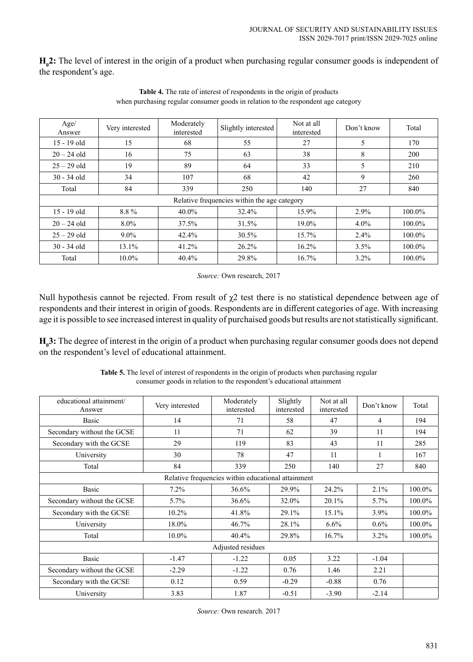**H<sub>0</sub>2:** The level of interest in the origin of a product when purchasing regular consumer goods is independent of the respondent's age.

| Age/<br>Answer | Very interested | Moderately<br>interested | Slightly interested                          | Not at all<br>interested | Don't know | Total  |
|----------------|-----------------|--------------------------|----------------------------------------------|--------------------------|------------|--------|
| 15 - 19 old    | 15              | 68                       | 55                                           | 27                       | 5          | 170    |
| $20 - 24$ old  | 16              | 75                       | 63                                           | 38                       | 8          | 200    |
| $25 - 29$ old  | 19              | 89                       | 64                                           | 33                       | 5          | 210    |
| $30 - 34$ old  | 34              | 107                      | 68                                           | 42                       | 9          | 260    |
| Total          | 84              | 339                      | 250                                          | 140                      | 27         | 840    |
|                |                 |                          | Relative frequencies within the age category |                          |            |        |
| $15 - 19$ old  | 8.8%            | 40.0%                    | 32.4%                                        | 15.9%                    | 2.9%       | 100.0% |
| $20 - 24$ old  | $8.0\%$         | 37.5%                    | 31.5%                                        | 19.0%                    | $4.0\%$    | 100.0% |
| $25 - 29$ old  | $9.0\%$         | 42.4%                    | 30.5%                                        | 15.7%                    | 2.4%       | 100.0% |
| $30 - 34$ old  | 13.1%           | 41.2%                    | $26.2\%$                                     | 16.2%                    | 3.5%       | 100.0% |
| Total          | $10.0\%$        | 40.4%                    | 29.8%                                        | 16.7%                    | $3.2\%$    | 100.0% |

**Table 4.** The rate of interest of respondents in the origin of products when purchasing regular consumer goods in relation to the respondent age category

*Source:* Own research, 2017

Null hypothesis cannot be rejected. From result of  $\chi$ 2 test there is no statistical dependence between age of respondents and their interest in origin of goods. Respondents are in different categories of age. With increasing age it is possible to see increased interest in quality of purchaised goods but results are not statistically significant.

**H<sub>0</sub>3:** The degree of interest in the origin of a product when purchasing regular consumer goods does not depend on the respondent's level of educational attainment.

| <b>Table 5.</b> The level of interest of respondents in the origin of products when purchasing regular |
|--------------------------------------------------------------------------------------------------------|
| consumer goods in relation to the respondent's educational attainment                                  |

| educational attainment/<br>Answer                  | Very interested | Moderately<br>interested | Slightly<br>interested | Not at all<br>interested | Don't know     | Total  |
|----------------------------------------------------|-----------------|--------------------------|------------------------|--------------------------|----------------|--------|
| Basic                                              | 14              | 71                       | 58                     | 47                       | $\overline{4}$ | 194    |
| Secondary without the GCSE                         | 11              | 71                       | 62                     | 39                       | 11             | 194    |
| Secondary with the GCSE                            | 29              | 119                      | 83                     | 43                       | 11             | 285    |
| University                                         | 30              | 78                       | 47                     | 11                       | -1             | 167    |
| Total                                              | 84              | 339                      | 250                    | 140                      | 27             | 840    |
| Relative frequencies within educational attainment |                 |                          |                        |                          |                |        |
| Basic                                              | 7.2%            | 36.6%                    | 29.9%                  | 24.2%                    | 2.1%           | 100.0% |
| Secondary without the GCSE                         | 5.7%            | 36.6%                    | 32.0%                  | 20.1%                    | 5.7%           | 100.0% |
| Secondary with the GCSE                            | 10.2%           | 41.8%                    | 29.1%                  | 15.1%                    | $3.9\%$        | 100.0% |
| University                                         | 18.0%           | 46.7%                    | 28.1%                  | $6.6\%$                  | $0.6\%$        | 100.0% |
| Total                                              | 10.0%           | 40.4%                    | 29.8%                  | 16.7%                    | $3.2\%$        | 100.0% |
|                                                    |                 | Adjusted residues        |                        |                          |                |        |
| Basic                                              | $-1.47$         | $-1.22$                  | 0.05                   | 3.22                     | $-1.04$        |        |
| Secondary without the GCSE                         | $-2.29$         | $-1.22$                  | 0.76                   | 1.46                     | 2.21           |        |
| Secondary with the GCSE                            | 0.12            | 0.59                     | $-0.29$                | $-0.88$                  | 0.76           |        |
| University                                         | 3.83            | 1.87                     | $-0.51$                | $-3.90$                  | $-2.14$        |        |

*Source:* Own research. 2017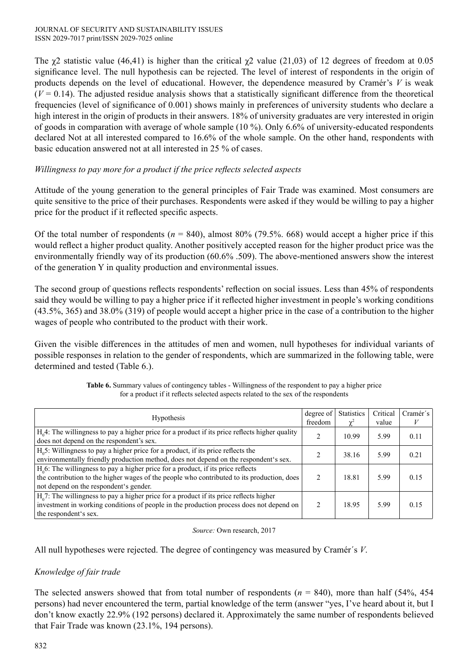The  $\chi$ 2 statistic value (46,41) is higher than the critical  $\chi$ 2 value (21,03) of 12 degrees of freedom at 0.05 significance level. The null hypothesis can be rejected. The level of interest of respondents in the origin of products depends on the level of educational. However, the dependence measured by Cramér's *V* is weak  $(V = 0.14)$ . The adjusted residue analysis shows that a statistically significant difference from the theoretical frequencies (level of significance of 0.001) shows mainly in preferences of university students who declare a high interest in the origin of products in their answers. 18% of university graduates are very interested in origin of goods in comparation with average of whole sample (10 %). Only 6.6% of university-educated respondents declared Not at all interested compared to 16.6% of the whole sample. On the other hand, respondents with basic education answered not at all interested in 25 % of cases.

## *Willingness to pay more for a product if the price reflects selected aspects*

Attitude of the young generation to the general principles of Fair Trade was examined. Most consumers are quite sensitive to the price of their purchases. Respondents were asked if they would be willing to pay a higher price for the product if it reflected specific aspects.

Of the total number of respondents ( $n = 840$ ), almost 80% (79.5%. 668) would accept a higher price if this would reflect a higher product quality. Another positively accepted reason for the higher product price was the environmentally friendly way of its production (60.6% .509). The above-mentioned answers show the interest of the generation Y in quality production and environmental issues.

The second group of questions reflects respondents' reflection on social issues. Less than 45% of respondents said they would be willing to pay a higher price if it reflected higher investment in people's working conditions (43.5%, 365) and 38.0% (319) of people would accept a higher price in the case of a contribution to the higher wages of people who contributed to the product with their work.

Given the visible differences in the attitudes of men and women, null hypotheses for individual variants of possible responses in relation to the gender of respondents, which are summarized in the following table, were determined and tested (Table 6.).

| <b>Table 6.</b> Summary values of contingency tables - Willingness of the respondent to pay a higher price |
|------------------------------------------------------------------------------------------------------------|
| for a product if it reflects selected aspects related to the sex of the respondents                        |

| <b>Hypothesis</b>                                                                                                                                                                                                          | degree of<br>freedom | <b>Statistics</b><br>$\chi^2$ | Critical<br>value | Cramér's |
|----------------------------------------------------------------------------------------------------------------------------------------------------------------------------------------------------------------------------|----------------------|-------------------------------|-------------------|----------|
| H <sub>0</sub> 4: The willingness to pay a higher price for a product if its price reflects higher quality<br>does not depend on the respondent's sex.                                                                     |                      | 10.99                         | 5.99              | 0.11     |
| $H05$ : Willingness to pay a higher price for a product, if its price reflects the<br>environmentally friendly production method, does not depend on the respondent's sex.                                                 |                      | 38.16                         | 5.99              | 0.21     |
| $H06$ : The willingness to pay a higher price for a product, if its price reflects<br>the contribution to the higher wages of the people who contributed to its production, does<br>not depend on the respondent's gender. |                      | 18.81                         | 5.99              | 0.15     |
| $H_0$ 7: The willingness to pay a higher price for a product if its price reflects higher<br>investment in working conditions of people in the production process does not depend on<br>the respondent's sex.              |                      | 18.95                         | 5.99              | 0.15     |

#### *Source:* Own research, 2017

All null hypotheses were rejected. The degree of contingency was measured by Cramér´s *V*.

# *Knowledge of fair trade*

The selected answers showed that from total number of respondents  $(n = 840)$ , more than half (54%, 454) persons) had never encountered the term, partial knowledge of the term (answer "yes, I've heard about it, but I don't know exactly 22.9% (192 persons) declared it. Approximately the same number of respondents believed that Fair Trade was known (23.1%, 194 persons).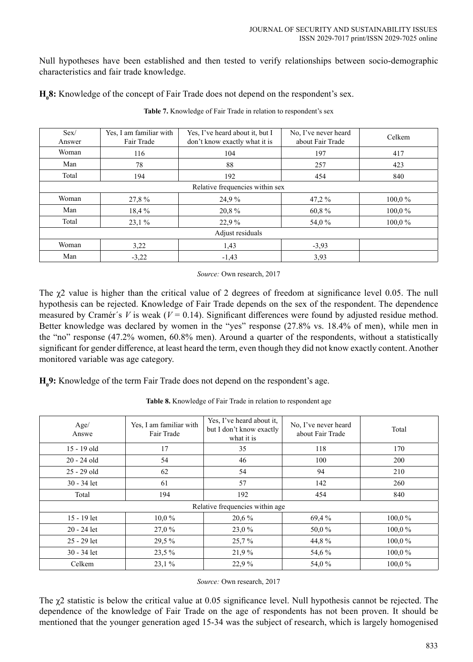Null hypotheses have been established and then tested to verify relationships between socio-demographic characteristics and fair trade knowledge.

**H<sub>0</sub>8:** Knowledge of the concept of Fair Trade does not depend on the respondent's sex.

| Sex/<br>Answer                  | Yes, I am familiar with<br>Fair Trade | Yes, I've heard about it, but I<br>don't know exactly what it is | No, I've never heard<br>about Fair Trade | Celkem |
|---------------------------------|---------------------------------------|------------------------------------------------------------------|------------------------------------------|--------|
| Woman                           | 116                                   | 104                                                              | 197                                      | 417    |
| Man                             | 78                                    | 88                                                               | 257                                      | 423    |
| Total                           | 194                                   | 192                                                              | 454                                      | 840    |
| Relative frequencies within sex |                                       |                                                                  |                                          |        |
| Woman                           | 27,8 %                                | 24,9%                                                            | $47.2\%$                                 | 100,0% |
| Man                             | 18,4 %                                | 20,8%                                                            | 60,8%                                    | 100,0% |
| Total                           | 23.1%                                 | 22.9 %                                                           | 54,0 %                                   | 100,0% |
| Adjust residuals                |                                       |                                                                  |                                          |        |
| Woman                           | 3,22                                  | 1,43                                                             | $-3,93$                                  |        |
| Man                             | $-3,22$                               | $-1,43$                                                          | 3,93                                     |        |

**Table 7.** Knowledge of Fair Trade in relation to respondent's sex

*Source:* Own research, 2017

The  $\chi$ 2 value is higher than the critical value of 2 degrees of freedom at significance level 0.05. The null hypothesis can be rejected. Knowledge of Fair Trade depends on the sex of the respondent. The dependence measured by Cramér's *V* is weak ( $V = 0.14$ ). Significant differences were found by adjusted residue method. Better knowledge was declared by women in the "yes" response (27.8% vs. 18.4% of men), while men in the "no" response (47.2% women, 60.8% men). Around a quarter of the respondents, without a statistically significant for gender difference, at least heard the term, even though they did not know exactly content. Another monitored variable was age category.

**H0 9:** Knowledge of the term Fair Trade does not depend on the respondent's age.

| Age/<br>Answe | Yes, I am familiar with<br>Fair Trade | Yes, I've heard about it,<br>but I don't know exactly<br>what it is | No, I've never heard<br>about Fair Trade | Total     |
|---------------|---------------------------------------|---------------------------------------------------------------------|------------------------------------------|-----------|
| 15 - 19 old   | 17                                    | 35                                                                  | 118                                      | 170       |
| $20 - 24$ old | 54                                    | 46                                                                  | 100                                      | 200       |
| $25 - 29$ old | 62                                    | 54                                                                  | 94                                       | 210       |
| $30 - 34$ let | 61                                    | 57                                                                  | 142                                      | 260       |
| Total         | 194                                   | 192                                                                 | 454                                      | 840       |
|               |                                       | Relative frequencies within age                                     |                                          |           |
| 15 - 19 let   | $10.0\%$                              | 20,6 %                                                              | 69,4 %                                   | $100.0\%$ |
| $20 - 24$ let | 27,0 %                                | 23,0 %                                                              | 50,0%                                    | $100.0\%$ |
| $25 - 29$ let | 29,5 %                                | $25.7\%$                                                            | 44,8%                                    | $100.0\%$ |
| $30 - 34$ let | 23,5 %                                | 21,9%                                                               | 54,6 %                                   | 100,0%    |
| Celkem        | 23,1%                                 | 22,9%                                                               | 54,0%                                    | 100,0%    |

**Table 8.** Knowledge of Fair Trade in relation to respondent age

*Source:* Own research, 2017

The  $\chi$ 2 statistic is below the critical value at 0.05 significance level. Null hypothesis cannot be rejected. The dependence of the knowledge of Fair Trade on the age of respondents has not been proven. It should be mentioned that the younger generation aged 15-34 was the subject of research, which is largely homogenised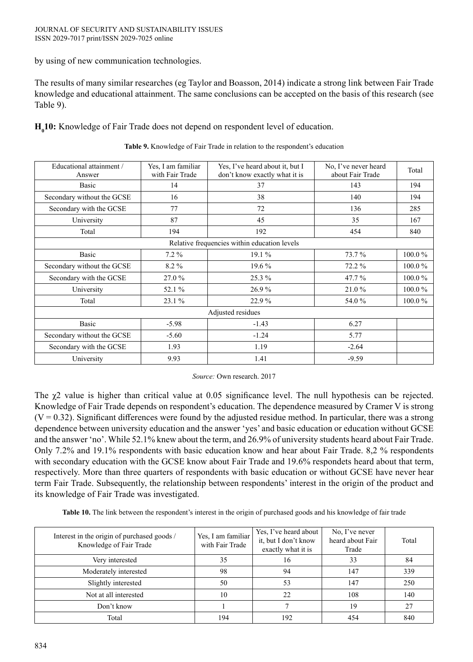by using of new communication technologies.

The results of many similar researches (eg Taylor and Boasson, 2014) indicate a strong link between Fair Trade knowledge and educational attainment. The same conclusions can be accepted on the basis of this research (see Table 9).

**H<sub>0</sub>10:** Knowledge of Fair Trade does not depend on respondent level of education.

| Educational attainment /<br>Answer | Yes, I am familiar<br>with Fair Trade | Yes, I've heard about it, but I<br>don't know exactly what it is | No, I've never heard<br>about Fair Trade | Total  |
|------------------------------------|---------------------------------------|------------------------------------------------------------------|------------------------------------------|--------|
| Basic                              | 14                                    | 37                                                               | 143                                      | 194    |
| Secondary without the GCSE         | 16                                    | 38                                                               | 140                                      | 194    |
| Secondary with the GCSE            | 77                                    | 72                                                               | 136                                      | 285    |
| University                         | 87                                    | 45                                                               | 35                                       | 167    |
| Total                              | 194                                   | 192                                                              | 454                                      | 840    |
|                                    |                                       | Relative frequencies within education levels                     |                                          |        |
| Basic                              | 7.2 %                                 | 19.1 %                                                           | 73.7 %                                   | 100.0% |
| Secondary without the GCSE         | 8.2%                                  | 19.6 %                                                           | 72.2 %                                   | 100.0% |
| Secondary with the GCSE            | 27.0 %                                | 25.3 %                                                           | 47.7 %                                   | 100.0% |
| University                         | 52.1 %                                | 26.9%                                                            | 21.0%                                    | 100.0% |
| Total                              | 23.1 %                                | 22.9%                                                            | 54.0 %                                   | 100.0% |
|                                    |                                       | Adjusted residues                                                |                                          |        |
| Basic                              | $-5.98$                               | $-1.43$                                                          | 6.27                                     |        |
| Secondary without the GCSE         | $-5.60$                               | $-1.24$                                                          | 5.77                                     |        |
| Secondary with the GCSE            | 1.93                                  | 1.19                                                             | $-2.64$                                  |        |
| University                         | 9.93                                  | 1.41                                                             | $-9.59$                                  |        |

**Table 9.** Knowledge of Fair Trade in relation to the respondent's education

*Source:* Own research. 2017

The  $\chi$ 2 value is higher than critical value at 0.05 significance level. The null hypothesis can be rejected. Knowledge of Fair Trade depends on respondent's education. The dependence measured by Cramer V is strong  $(V = 0.32)$ . Significant differences were found by the adjusted residue method. In particular, there was a strong dependence between university education and the answer 'yes' and basic education or education without GCSE and the answer 'no'. While 52.1% knew about the term, and 26.9% of university students heard about Fair Trade. Only 7.2% and 19.1% respondents with basic education know and hear about Fair Trade. 8,2 % respondents with secondary education with the GCSE know about Fair Trade and 19.6% respondets heard about that term, respectively. More than three quarters of respondents with basic education or without GCSE have never hear term Fair Trade. Subsequently, the relationship between respondents' interest in the origin of the product and its knowledge of Fair Trade was investigated.

**Table 10.** The link between the respondent's interest in the origin of purchased goods and his knowledge of fair trade

| Interest in the origin of purchased goods /<br>Knowledge of Fair Trade | Yes, I am familiar<br>with Fair Trade | Yes, I've heard about<br>it, but I don't know<br>exactly what it is | No, I've never<br>heard about Fair<br>Trade | Total |
|------------------------------------------------------------------------|---------------------------------------|---------------------------------------------------------------------|---------------------------------------------|-------|
| Very interested                                                        | 35                                    | 16                                                                  | 33                                          | 84    |
| Moderately interested                                                  | 98                                    | 94                                                                  | 147                                         | 339   |
| Slightly interested                                                    | 50                                    | 53                                                                  | 147                                         | 250   |
| Not at all interested                                                  | 10                                    | 22                                                                  | 108                                         | 140   |
| Don't know                                                             |                                       |                                                                     | 19                                          | 27    |
| Total                                                                  | 194                                   | 192                                                                 | 454                                         | 840   |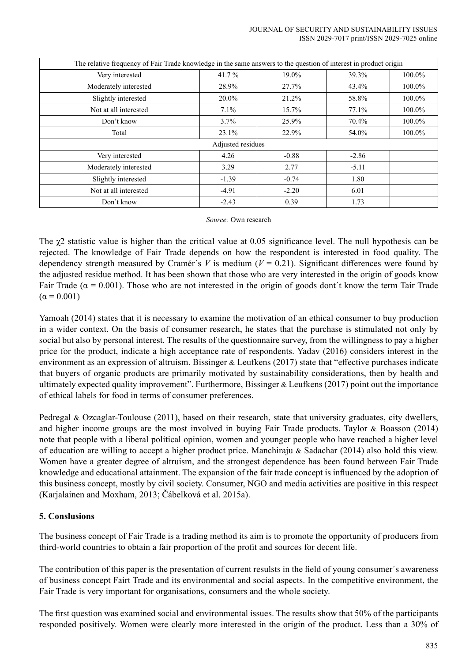JOURNAL OF SECURITY AND SUSTAINABILITY ISSUES ISSN 2029-7017 print/ISSN 2029-7025 online

| The relative frequency of Fair Trade knowledge in the same answers to the question of interest in product origin |         |         |         |        |
|------------------------------------------------------------------------------------------------------------------|---------|---------|---------|--------|
| Very interested                                                                                                  | 41.7%   | 19.0%   | 39.3%   | 100.0% |
| Moderately interested                                                                                            | 28.9%   | 27.7%   | 43.4%   | 100.0% |
| Slightly interested                                                                                              | 20.0%   | 21.2%   | 58.8%   | 100.0% |
| Not at all interested                                                                                            | $7.1\%$ | 15.7%   | 77.1%   | 100.0% |
| Don't know                                                                                                       | $3.7\%$ | 25.9%   | 70.4%   | 100.0% |
| Total                                                                                                            | 23.1%   | 22.9%   | 54.0%   | 100.0% |
| Adjusted residues                                                                                                |         |         |         |        |
| Very interested                                                                                                  | 4.26    | $-0.88$ | $-2.86$ |        |
| Moderately interested                                                                                            | 3.29    | 2.77    | $-5.11$ |        |
| Slightly interested                                                                                              | $-1.39$ | $-0.74$ | 1.80    |        |
| Not at all interested                                                                                            | $-4.91$ | $-2.20$ | 6.01    |        |
| Don't know                                                                                                       | $-2.43$ | 0.39    | 1.73    |        |

#### *Source:* Own research

The  $\chi$ 2 statistic value is higher than the critical value at 0.05 significance level. The null hypothesis can be rejected. The knowledge of Fair Trade depends on how the respondent is interested in food quality. The dependency strength measured by Cramér's *V* is medium ( $V = 0.21$ ). Significant differences were found by the adjusted residue method. It has been shown that those who are very interested in the origin of goods know Fair Trade ( $\alpha = 0.001$ ). Those who are not interested in the origin of goods dont't know the term Tair Trade  $(\alpha = 0.001)$ 

Yamoah (2014) states that it is necessary to examine the motivation of an ethical consumer to buy production in a wider context. On the basis of consumer research, he states that the purchase is stimulated not only by social but also by personal interest. The results of the questionnaire survey, from the willingness to pay a higher price for the product, indicate a high acceptance rate of respondents. Yadav (2016) considers interest in the environment as an expression of altruism. Bissinger & Leufkens (2017) state that "effective purchases indicate that buyers of organic products are primarily motivated by sustainability considerations, then by health and ultimately expected quality improvement". Furthermore, Bissinger & Leufkens (2017) point out the importance of ethical labels for food in terms of consumer preferences.

Pedregal & Ozcaglar-Toulouse (2011), based on their research, state that university graduates, city dwellers, and higher income groups are the most involved in buying Fair Trade products. Taylor & Boasson (2014) note that people with a liberal political opinion, women and younger people who have reached a higher level of education are willing to accept a higher product price. Manchiraju & Sadachar (2014) also hold this view. Women have a greater degree of altruism, and the strongest dependence has been found between Fair Trade knowledge and educational attainment. The expansion of the fair trade concept is influenced by the adoption of this business concept, mostly by civil society. Consumer, NGO and media activities are positive in this respect (Karjalainen and Moxham, 2013; Čábelková et al. 2015a).

### **5. Conslusions**

The business concept of Fair Trade is a trading method its aim is to promote the opportunity of producers from third-world countries to obtain a fair proportion of the profit and sources for decent life.

The contribution of this paper is the presentation of current resulsts in the field of young consumer´s awareness of business concept Fairt Trade and its environmental and social aspects. In the competitive environment, the Fair Trade is very important for organisations, consumers and the whole society.

The first question was examined social and environmental issues. The results show that 50% of the participants responded positively. Women were clearly more interested in the origin of the product. Less than a 30% of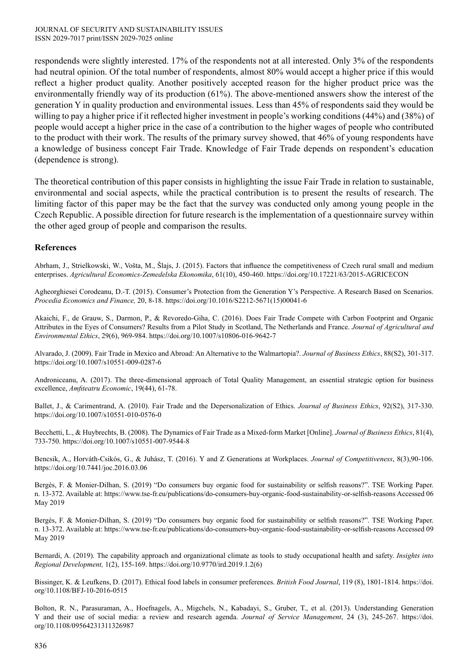respondends were slightly interested. 17% of the respondents not at all interested. Only 3% of the respondents had neutral opinion. Of the total number of respondents, almost 80% would accept a higher price if this would reflect a higher product quality. Another positively accepted reason for the higher product price was the environmentally friendly way of its production (61%). The above-mentioned answers show the interest of the generation Y in quality production and environmental issues. Less than 45% of respondents said they would be willing to pay a higher price if it reflected higher investment in people's working conditions (44%) and (38%) of people would accept a higher price in the case of a contribution to the higher wages of people who contributed to the product with their work. The results of the primary survey showed, that 46% of young respondents have a knowledge of business concept Fair Trade. Knowledge of Fair Trade depends on respondent's education (dependence is strong).

The theoretical contribution of this paper consists in highlighting the issue Fair Trade in relation to sustainable, environmental and social aspects, while the practical contribution is to present the results of research. The limiting factor of this paper may be the fact that the survey was conducted only among young people in the Czech Republic. A possible direction for future research is the implementation of a questionnaire survey within the other aged group of people and comparison the results.

### **References**

Abrham, J., Strielkowski, W., Vošta, M., Šlajs, J. (2015). Factors that influence the competitiveness of Czech rural small and medium enterprises. *Agricultural Economics-Zemedelska Ekonomika*, 61(10), 450-460. https://doi.org/10.17221/63/2015-AGRICECON

Agheorghiesei Corodeanu, D.-T. (2015). Consumer's Protection from the Generation Y's Perspective. A Research Based on Scenarios. *Procedia Economics and Finance,* 20, 8-18. https://doi.org/10.1016/S2212-5671(15)00041-6

Akaichi, F., de Grauw, S., Darmon, P., & Revoredo-Giha, C. (2016). Does Fair Trade Compete with Carbon Footprint and Organic Attributes in the Eyes of Consumers? Results from a Pilot Study in Scotland, The Netherlands and France. *Journal of Agricultural and Environmental Ethics*, 29(6), 969-984. https://doi.org/10.1007/s10806-016-9642-7

Alvarado, J. (2009). Fair Trade in Mexico and Abroad: An Alternative to the Walmartopia?. *Journal of Business Ethics*, 88(S2), 301-317. https://doi.org/10.1007/s10551-009-0287-6

Androniceanu, A. (2017). The three-dimensional approach of Total Quality Management, an essential strategic option for business excellence, *Amfiteatru Economic*, 19(44), 61-78.

Ballet, J., & Carimentrand, A. (2010). Fair Trade and the Depersonalization of Ethics. *Journal of Business Ethics*, 92(S2), 317-330. https://doi.org/10.1007/s10551-010-0576-0

Becchetti, L., & Huybrechts, B. (2008). The Dynamics of Fair Trade as a Mixed-form Market [Online]. *Journal of Business Ethics*, 81(4), 733-750. https://doi.org/10.1007/s10551-007-9544-8

Bencsik, A., Horváth-Csikós, G., & Juhász, T. (2016). Y and Z Generations at Workplaces. *Journal of Competitiveness*, 8(3),90-106. https://doi.org/10.7441/joc.2016.03.06

Bergès, F. & Monier-Dilhan, S. (2019) "Do consumers buy organic food for sustainability or selfish reasons?". TSE Working Paper. n. 13-372. Available at: https://www.tse-fr.eu/publications/do-consumers-buy-organic-food-sustainability-or-selfish-reasons Accessed 06 May 2019

Bergès, F. & Monier-Dilhan, S. (2019) "Do consumers buy organic food for sustainability or selfish reasons?". TSE Working Paper. n. 13-372. Available at: https://www.tse-fr.eu/publications/do-consumers-buy-organic-food-sustainability-or-selfish-reasons Accessed 09 May 2019

Bernardi, A. (2019). The capability approach and organizational climate as tools to study occupational health and safety. *Insights into Regional Development,* 1(2), 155-169. https://doi.org/10.9770/ird.2019.1.2(6)

Bissinger, K. & Leufkens, D. (2017). Ethical food labels in consumer preferences. *British Food Journal*, 119 (8), 1801-1814. https://doi. org/10.1108/BFJ-10-2016-0515

Bolton, R. N., Parasuraman, A., Hoefnagels, A., Migchels, N., Kabadayi, S., Gruber, T., et al. (2013). Understanding Generation Y and their use of social media: a review and research agenda. *Journal of Service Management*, 24 (3), 245-267. https://doi. org/10.1108/09564231311326987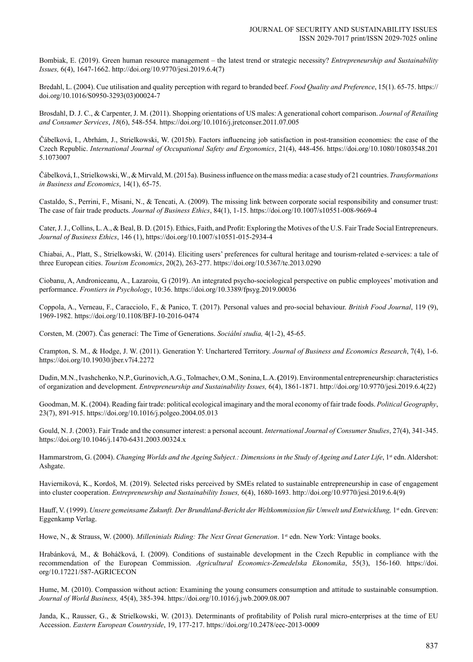Bombiak, E. (2019). Green human resource management – the latest trend or strategic necessity? *Entrepreneurship and Sustainability Issues,* 6(4), 1647-1662. http://doi.org/10.9770/jesi.2019.6.4(7)

Bredahl, L. (2004). Cue utilisation and quality perception with regard to branded beef. *Food Quality and Preference*, 15(1). 65-75. https:// doi.org/10.1016/S0950-3293(03)00024-7

Brosdahl, D. J. C., & Carpenter, J. M. (2011). Shopping orientations of US males: A generational cohort comparison. *Journal of Retailing and Consumer Services*, *18*(6), 548-554. https://doi.org/10.1016/j.jretconser.2011.07.005

Čábelková, I., Abrhám, J., Strielkowski, W. (2015b). Factors influencing job satisfaction in post-transition economies: the case of the Czech Republic. *International Journal of Occupational Safety and Ergonomics*, 21(4), 448-456. https://doi.org/10.1080/10803548.201 5.1073007

Čábelková, I., Strielkowski, W., & Mirvald, M. (2015a). Business influence on the mass media: a case study of 21 countries. *Transformations in Business and Economics*, 14(1), 65-75.

Castaldo, S., Perrini, F., Misani, N., & Tencati, A. (2009). The missing link between corporate social responsibility and consumer trust: The case of fair trade products. *Journal of Business Ethics*, 84(1), 1-15. https://doi.org/10.1007/s10551-008-9669-4

Cater, J. J., Collins, L. A., & Beal, B. D. (2015). Ethics, Faith, and Profit: Exploring the Motives of the U.S. Fair Trade Social Entrepreneurs. *Journal of Business Ethics*, 146 (1), https://doi.org/10.1007/s10551-015-2934-4

Chiabai, A., Platt, S., Strielkowski, W. (2014). Eliciting users' preferences for cultural heritage and tourism-related e-services: a tale of three European cities. *Tourism Economics*, 20(2), 263-277. https://doi.org/10.5367/te.2013.0290

Ciobanu, A, Androniceanu, A., Lazaroiu, G (2019). An integrated psycho-sociological perspective on public employees' motivation and performance. *Frontiers in Psychology*, 10:36. https://doi.org/10.3389/fpsyg.2019.00036

Coppola, A., Verneau, F., Caracciolo, F., & Panico, T. (2017). Personal values and pro-social behaviour. *British Food Journal*, 119 (9), 1969-1982. https://doi.org/10.1108/BFJ-10-2016-0474

Corsten, M. (2007). Čas generací: The Time of Generations. *Sociální studia,* 4(1-2), 45-65.

Crampton, S. M., & Hodge, J. W. (2011). Generation Y: Unchartered Territory. *Journal of Business and Economics Research*, 7(4), 1-6. https://doi.org/10.19030/jber.v7i4.2272

Dudin, M.N., Ivashchenko, N.P., Gurinovich, A.G., Tolmachev, O.M., Sonina, L.A. **(**2019). Environmental entrepreneurship: characteristics of organization and development. *Entrepreneurship and Sustainability Issues,* 6(4), 1861-1871. http://doi.org/10.9770/jesi.2019.6.4(22)

Goodman, M. K. (2004). Reading fair trade: political ecological imaginary and the moral economy of fair trade foods. *Political Geography*, 23(7), 891-915. https://doi.org/10.1016/j.polgeo.2004.05.013

Gould, N. J. (2003). Fair Trade and the consumer interest: a personal account. *International Journal of Consumer Studies*, 27(4), 341-345. https://doi.org/10.1046/j.1470-6431.2003.00324.x

Hammarstrom, G. (2004). *Changing Worlds and the Ageing Subject.: Dimensions in the Study of Ageing and Later Life*, 1<sup>st</sup> edn. Aldershot: Ashgate.

Havierniková, K., Kordoš, M. (2019). Selected risks perceived by SMEs related to sustainable entrepreneurship in case of engagement into cluster cooperation. *Entrepreneurship and Sustainability Issues,* 6(4), 1680-1693. http://doi.org/10.9770/jesi.2019.6.4(9)

Hauff, V. (1999). *Unsere gemeinsame Zukunft. Der Brundtland-Bericht der Weltkommission für Umwelt und Entwicklung,* 1st edn. Greven: Eggenkamp Verlag.

Howe, N., & Strauss, W. (2000). *Milleninials Riding: The Next Great Generation*. 1<sup>st</sup> edn. New York: Vintage books.

Hrabánková, M., & Boháčková, I. (2009). Conditions of sustainable development in the Czech Republic in compliance with the recommendation of the European Commission. *Agricultural Economics-Zemedelska Ekonomika*, 55(3), 156-160. https://doi. org/10.17221/587-AGRICECON

Hume, M. (2010). Compassion without action: Examining the young consumers consumption and attitude to sustainable consumption. *Journal of World Business,* 45(4), 385-394. https://doi.org/10.1016/j.jwb.2009.08.007

Janda, K., Rausser, G., & Strielkowski, W. (2013). Determinants of profitability of Polish rural micro-enterprises at the time of EU Accession. *Eastern European Countryside*, 19, 177-217. https://doi.org/10.2478/eec-2013-0009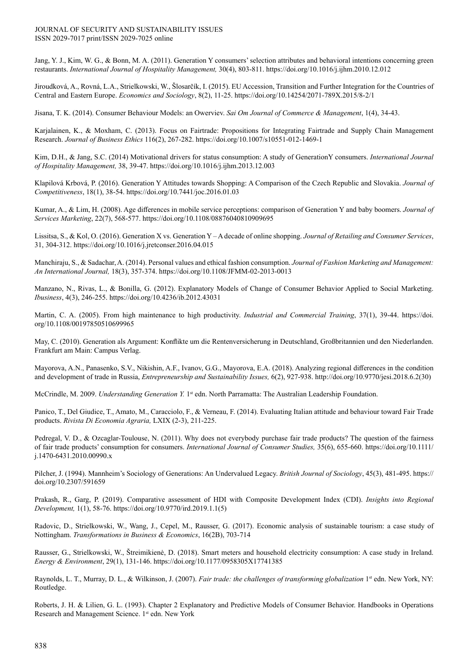#### JOURNAL OF SECURITY AND SUSTAINABILITY ISSUES ISSN 2029-7017 print/ISSN 2029-7025 online

Jang, Y. J., Kim, W. G., & Bonn, M. A. (2011). Generation Y consumers' selection attributes and behavioral intentions concerning green restaurants. *International Journal of Hospitality Management,* 30(4), 803-811. https://doi.org/10.1016/j.ijhm.2010.12.012

Jiroudková, A., Rovná, L.A., Strielkowski, W., Šlosarčík, I. (2015). EU Accession, Transition and Further Integration for the Countries of Central and Eastern Europe. *Economics and Sociology*, 8(2), 11-25. https://doi.org/10.14254/2071-789X.2015/8-2/1

Jisana, T. K. (2014). Consumer Behaviour Models: an Owerviev. *Sai Om Journal of Commerce & Management*, 1(4), 34-43.

Karjalainen, K., & Moxham, C. (2013). Focus on Fairtrade: Propositions for Integrating Fairtrade and Supply Chain Management Research. *Journal of Business Ethics* 116(2), 267-282. https://doi.org/10.1007/s10551-012-1469-1

Kim, D.H., & Jang, S.C. (2014) Motivational drivers for status consumption: A study of GenerationY consumers. *International Journal of Hospitality Management,* 38, 39-47. https://doi.org/10.1016/j.ijhm.2013.12.003

Klapilová Krbová, P. (2016). Generation Y Attitudes towards Shopping: A Comparison of the Czech Republic and Slovakia. *Journal of Competitiveness*, 18(1), 38-54. https://doi.org/10.7441/joc.2016.01.03

Kumar, A., & Lim, H. (2008). Age differences in mobile service perceptions: comparison of Generation Y and baby boomers. *Journal of Services Marketing*, 22(7), 568-577. https://doi.org/10.1108/08876040810909695

Lissitsa, S., & Kol, O. (2016). Generation X vs. Generation Y – A decade of online shopping. *Journal of Retailing and Consumer Services*, 31, 304-312. https://doi.org/10.1016/j.jretconser.2016.04.015

Manchiraju, S., & Sadachar, A. (2014). Personal values and ethical fashion consumption. *Journal of Fashion Marketing and Management: An International Journal,* 18(3), 357-374. https://doi.org/10.1108/JFMM-02-2013-0013

Manzano, N., Rivas, L., & Bonilla, G. (2012). Explanatory Models of Change of Consumer Behavior Applied to Social Marketing. *Ibusiness*, 4(3), 246-255. https://doi.org/10.4236/ib.2012.43031

Martin, C. A. (2005). From high maintenance to high productivity. *Industrial and Commercial Training*, 37(1), 39-44. https://doi. org/10.1108/00197850510699965

May, C. (2010). Generation als Argument: Konflikte um die Rentenversicherung in Deutschland, Großbritannien und den Niederlanden. Frankfurt am Main: Campus Verlag.

Mayorova, A.N., Panasenko, S.V., Nikishin, A.F., Ivanov, G.G., Mayorova, E.A. (2018). Analyzing regional differences in the condition and development of trade in Russia, *Entrepreneurship and Sustainability Issues,* 6(2), 927-938. http://doi.org/10.9770/jesi.2018.6.2(30)

McCrindle, M. 2009. *Understanding Generation Y.* 1<sup>st</sup> edn. North Parramatta: The Australian Leadership Foundation.

Panico, T., Del Giudice, T., Amato, M., Caracciolo, F., & Verneau, F. (2014). Evaluating Italian attitude and behaviour toward Fair Trade products. *Rivista Di Economia Agraria,* LXIX (2-3), 211-225.

Pedregal, V. D., & Ozcaglar-Toulouse, N. (2011). Why does not everybody purchase fair trade products? The question of the fairness of fair trade products' consumption for consumers. *International Journal of Consumer Studies,* 35(6), 655-660. https://doi.org/10.1111/ j.1470-6431.2010.00990.x

Pilcher, J. (1994). Mannheim's Sociology of Generations: An Undervalued Legacy. *British Journal of Sociology*, 45(3), 481-495. https:// doi.org/10.2307/591659

Prakash, R., Garg, P. (2019). Comparative assessment of HDI with Composite Development Index (CDI). *Insights into Regional Development,* 1(1), 58-76. https://doi.org/10.9770/ird.2019.1.1(5)

Radovic, D., Strielkowski, W., Wang, J., Cepel, M., Rausser, G. (2017). Economic analysis of sustainable tourism: a case study of Nottingham. *Transformations in Business & Economics*, 16(2B), 703-714

Rausser, G., Strielkowski, W., Štreimikienė, D. (2018). Smart meters and household electricity consumption: A case study in Ireland. *Energy & Environment*, 29(1), 131-146. https://doi.org/10.1177/0958305X17741385

Raynolds, L. T., Murray, D. L., & Wilkinson, J. (2007). *Fair trade: the challenges of transforming globalization* 1<sup>st</sup> edn. New York, NY: Routledge.

Roberts, J. H. & Lilien, G. L. (1993). Chapter 2 Explanatory and Predictive Models of Consumer Behavior. Handbooks in Operations Research and Management Science. 1<sup>st</sup> edn. New York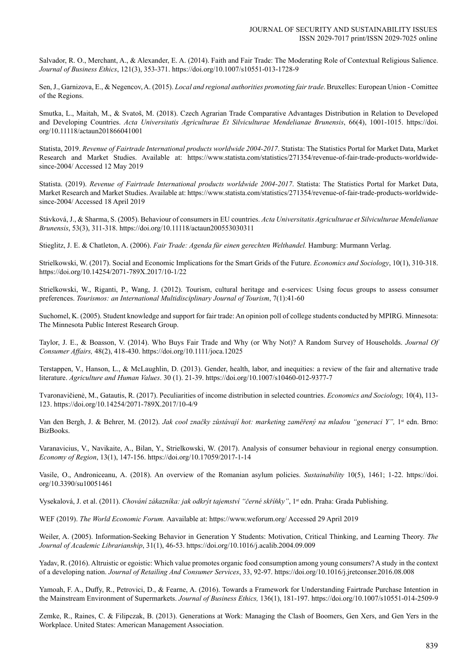Salvador, R. O., Merchant, A., & Alexander, E. A. (2014). Faith and Fair Trade: The Moderating Role of Contextual Religious Salience. *Journal of Business Ethics*, 121(3), 353-371. https://doi.org/10.1007/s10551-013-1728-9

Sen, J., Garnizova, E., & Negencov, A. (2015). *Local and regional authorities promoting fair trade*. Bruxelles: European Union - Comittee of the Regions.

Smutka, L., Maitah, M., & Svatoš, M. (2018). Czech Agrarian Trade Comparative Advantages Distribution in Relation to Developed and Developing Countries. *Acta Universitatis Agriculturae Et Silviculturae Mendelianae Brunensis*, 66(4), 1001-1015. https://doi. org/10.11118/actaun201866041001

Statista, 2019. *Revenue of Fairtrade International products worldwide 2004-2017*. Statista: The Statistics Portal for Market Data, Market Research and Market Studies. Available at: https://www.statista.com/statistics/271354/revenue-of-fair-trade-products-worldwidesince-2004/ Accessed 12 May 2019

Statista. (2019). *Revenue of Fairtrade International products worldwide 2004-2017*. Statista: The Statistics Portal for Market Data, Market Research and Market Studies. Available at: https://www.statista.com/statistics/271354/revenue-of-fair-trade-products-worldwidesince-2004/ Accessed 18 April 2019

Stávková, J., & Sharma, S. (2005). Behaviour of consumers in EU countries. *Acta Universitatis Agriculturae et Silviculturae Mendelianae Brunensis*, 53(3), 311-318. https://doi.org/10.11118/actaun200553030311

Stieglitz, J. E. & Chatleton, A. (2006). *Fair Trade: Agenda für einen gerechten Welthandel.* Hamburg: Murmann Verlag.

Strielkowski, W. (2017). Social and Economic Implications for the Smart Grids of the Future. *Economics and Sociology*, 10(1), 310-318. https://doi.org/10.14254/2071-789X.2017/10-1/22

Strielkowski, W., Riganti, P., Wang, J. (2012). Tourism, cultural heritage and e-services: Using focus groups to assess consumer preferences. *Tourismos: an International Multidisciplinary Journal of Tourism*, 7(1):41-60

Suchomel, K. (2005). Student knowledge and support for fair trade: An opinion poll of college students conducted by MPIRG. Minnesota: The Minnesota Public Interest Research Group.

Taylor, J. E., & Boasson, V. (2014). Who Buys Fair Trade and Why (or Why Not)? A Random Survey of Households. *Journal Of Consumer Affairs,* 48(2), 418-430. https://doi.org/10.1111/joca.12025

Terstappen, V., Hanson, L., & McLaughlin, D. (2013). Gender, health, labor, and inequities: a review of the fair and alternative trade literature. *Agriculture and Human Values*. 30 (1). 21-39. https://doi.org/10.1007/s10460-012-9377-7

Tvaronavičienė, M., Gatautis, R. (2017). Peculiarities of income distribution in selected countries. *Economics and Sociology,* 10(4), 113- 123. https://doi.org/10.14254/2071-789X.2017/10-4/9

Van den Bergh, J. & Behrer, M. (2012). Jak cool značky zůstávají hot: marketing zaměřený na mladou "generaci Y", 1<sup>st</sup> edn. Brno: BizBooks.

Varanavicius, V., Navikaite, A., Bilan, Y., Strielkowski, W. (2017). Analysis of consumer behaviour in regional energy consumption. *Economy of Region*, 13(1), 147-156. https://doi.org/10.17059/2017-1-14

Vasile, O., Androniceanu, A. (2018). An overview of the Romanian asylum policies. *Sustainability* 10(5), 1461; 1-22. https://doi. org/10.3390/su10051461

Vysekalová, J. et al. (2011). *Chování zákazníka: jak odkrýt tajemství "černé skříňky"*, 1<sup>st</sup> edn. Praha: Grada Publishing.

WEF (2019). *The World Economic Forum.* Aavailable at: https://www.weforum.org/ Accessed 29 April 2019

Weiler, A. (2005). Information-Seeking Behavior in Generation Y Students: Motivation, Critical Thinking, and Learning Theory. *The Journal of Academic Librarianship*, 31(1), 46-53. https://doi.org/10.1016/j.acalib.2004.09.009

Yadav, R. (2016). Altruistic or egoistic: Which value promotes organic food consumption among young consumers? A study in the context of a developing nation. *Journal of Retailing And Consumer Services*, 33, 92-97. https://doi.org/10.1016/j.jretconser.2016.08.008

Yamoah, F. A., Duffy, R., Petrovici, D., & Fearne, A. (2016). Towards a Framework for Understanding Fairtrade Purchase Intention in the Mainstream Environment of Supermarkets. *Journal of Business Ethics,* 136(1), 181-197. https://doi.org/10.1007/s10551-014-2509-9

Zemke, R., Raines, C. & Filipczak, B. (2013). Generations at Work: Managing the Clash of Boomers, Gen Xers, and Gen Yers in the Workplace. United States: American Management Association.